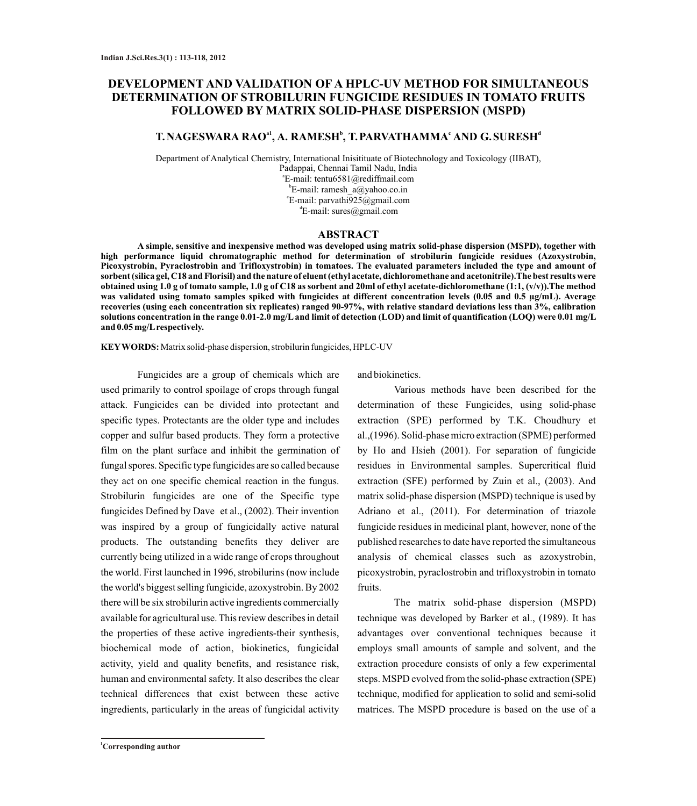# **DEVELOPMENT AND VALIDATION OF A HPLC-UV METHOD FOR SIMULTANEOUS DETERMINATION OF STROBILURIN FUNGICIDE RESIDUES IN TOMATO FRUITS FOLLOWED BY MATRIX SOLID-PHASE DISPERSION (MSPD)**

# **a1 <sup>b</sup> <sup>c</sup> <sup>d</sup> T.NAGESWARA RAO , A. RAMESH , T.PARVATHAMMA AND G.SURESH**

Department of Analytical Chemistry, International Inisitituate of Biotechnology and Toxicology (IIBAT), Padappai, Chennai Tamil Nadu, India a E-mail: tentu6581@rediffmail.com b E-mail: ramesh\_a@yahoo.co.in c E-mail: parvathi925@gmail.com  ${}^4E$ -mail: sures@gmail.com

### **ABSTRACT**

**A simple, sensitive and inexpensive method was developed using matrix solid-phase dispersion (MSPD), together with high performance liquid chromatographic method for determination of strobilurin fungicide residues (Azoxystrobin, Picoxystrobin, Pyraclostrobin and Trifloxystrobin) in tomatoes. The evaluated parameters included the type and amount of sorbent (silica gel, C18 and Florisil) and the nature of eluent (ethyl acetate, dichloromethane and acetonitrile).The best results were obtained using 1.0 g of tomato sample, 1.0 g of C18 as sorbent and 20ml of ethyl acetate-dichloromethane (1:1, (v/v)).The method was validated using tomato samples spiked with fungicides at different concentration levels (0.05 and 0.5 µg/mL). Average recoveries (using each concentration six replicates) ranged 90-97%, with relative standard deviations less than 3%, calibration solutions concentration in the range 0.01-2.0 mg/Land limit of detection (LOD) and limit of quantification (LOQ) were 0.01 mg/L and 0.05 mg/Lrespectively.**

**KEYWORDS:** Matrix solid-phase dispersion, strobilurin fungicides, HPLC-UV

Fungicides are a group of chemicals which are used primarily to control spoilage of crops through fungal attack. Fungicides can be divided into protectant and specific types. Protectants are the older type and includes copper and sulfur based products. They form a protective film on the plant surface and inhibit the germination of fungal spores. Specific type fungicides are so called because they act on one specific chemical reaction in the fungus. Strobilurin fungicides are one of the Specific type fungicides Defined by Dave et al., (2002). Their invention was inspired by a group of fungicidally active natural products. The outstanding benefits they deliver are currently being utilized in a wide range of crops throughout the world. First launched in 1996, strobilurins (now include the world's biggest selling fungicide, azoxystrobin. By 2002 there will be six strobilurin active ingredients commercially available for agricultural use. This review describes in detail the properties of these active ingredients-their synthesis, biochemical mode of action, biokinetics, fungicidal activity, yield and quality benefits, and resistance risk, human and environmental safety. It also describes the clear technical differences that exist between these active ingredients, particularly in the areas of fungicidal activity

and biokinetics.

Various methods have been described for the determination of these Fungicides, using solid-phase extraction (SPE) performed by T.K. Choudhury et al.,(1996). Solid-phase micro extraction (SPME) performed by Ho and Hsieh (2001). For separation of fungicide residues in Environmental samples. Supercritical fluid extraction (SFE) performed by Zuin et al., (2003). And matrix solid-phase dispersion (MSPD) technique is used by Adriano et al., (2011). For determination of triazole fungicide residues in medicinal plant, however, none of the published researches to date have reported the simultaneous analysis of chemical classes such as azoxystrobin, picoxystrobin, pyraclostrobin and trifloxystrobin in tomato fruits.

The matrix solid-phase dispersion (MSPD) technique was developed by Barker et al., (1989). It has advantages over conventional techniques because it employs small amounts of sample and solvent, and the extraction procedure consists of only a few experimental steps. MSPD evolved from the solid-phase extraction (SPE) technique, modified for application to solid and semi-solid matrices. The MSPD procedure is based on the use of a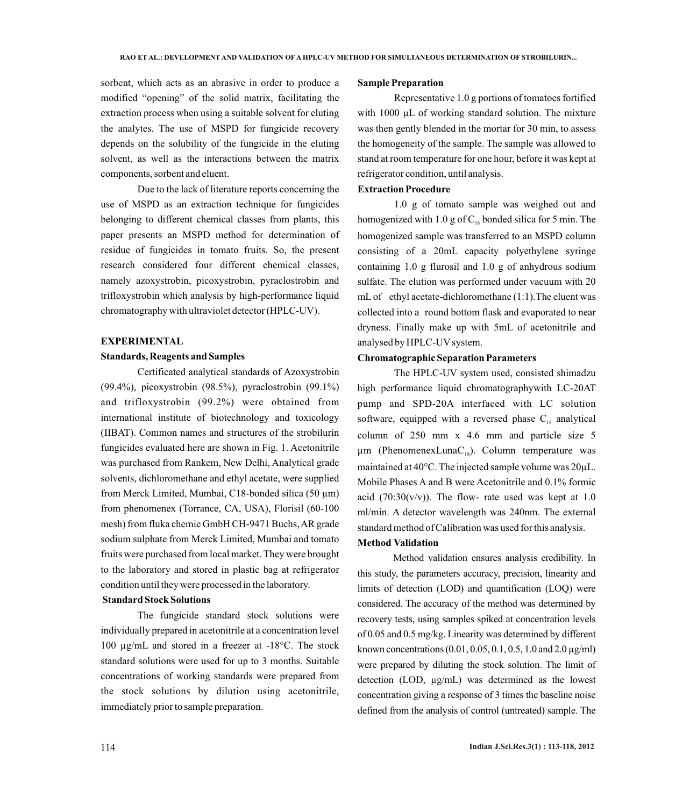sorbent, which acts as an abrasive in order to produce a modified "opening" of the solid matrix, facilitating the extraction process when using a suitable solvent for eluting the analytes. The use of MSPD for fungicide recovery depends on the solubility of the fungicide in the eluting solvent, as well as the interactions between the matrix components, sorbent and eluent.

Due to the lack of literature reports concerning the use of MSPD as an extraction technique for fungicides belonging to different chemical classes from plants, this paper presents an MSPD method for determination of residue of fungicides in tomato fruits. So, the present research considered four different chemical classes, namely azoxystrobin, picoxystrobin, pyraclostrobin and trifloxystrobin which analysis by high-performance liquid chromatography with ultraviolet detector (HPLC-UV).

### **EXPERIMENTAL**

#### **Standards, Reagents and Samples**

Certificated analytical standards of Azoxystrobin (99.4%), picoxystrobin (98.5%), pyraclostrobin (99.1%) and trifloxystrobin (99.2%) were obtained from international institute of biotechnology and toxicology (IIBAT). Common names and structures of the strobilurin fungicides evaluated here are shown in Fig. 1. Acetonitrile was purchased from Rankem, New Delhi, Analytical grade solvents, dichloromethane and ethyl acetate, were supplied from Merck Limited, Mumbai, C18-bonded silica (50 µm) from phenomenex (Torrance, CA, USA), Florisil (60-100 mesh) from fluka chemie GmbH CH-9471 Buchs, AR grade sodium sulphate from Merck Limited, Mumbai and tomato fruits were purchased from local market. They were brought to the laboratory and stored in plastic bag at refrigerator condition until they were processed in the laboratory.

### **Standard Stock Solutions**

The fungicide standard stock solutions were individually prepared in acetonitrile at a concentration level 100 µg/mL and stored in a freezer at -18°C. The stock standard solutions were used for up to 3 months. Suitable concentrations of working standards were prepared from the stock solutions by dilution using acetonitrile, immediately prior to sample preparation.

#### **Sample Preparation**

Representative 1.0 g portions of tomatoes fortified with  $1000 \mu L$  of working standard solution. The mixture was then gently blended in the mortar for 30 min, to assess the homogeneity of the sample. The sample was allowed to stand at room temperature for one hour, before it was kept at refrigerator condition, until analysis.

#### **Extraction Procedure**

1.0 g of tomato sample was weighed out and homogenized with 1.0 g of  $C_{18}$  bonded silica for 5 min. The homogenized sample was transferred to an MSPD column consisting of a 20mL capacity polyethylene syringe containing 1.0 g flurosil and 1.0 g of anhydrous sodium sulfate. The elution was performed under vacuum with 20 mLof ethyl acetate-dichloromethane (1:1).The eluent was collected into a round bottom flask and evaporated to near dryness. Finally make up with 5mL of acetonitrile and analysed by HPLC-UV system.

#### **Chromatographic Separation Parameters**

The HPLC-UV system used, consisted shimadzu high performance liquid chromatographywith LC-20AT pump and SPD-20A interfaced with LC solution software, equipped with a reversed phase  $C_{18}$  analytical column of 250 mm x 4.6 mm and particle size 5  $\mu$ m (PhenomenexLunaC<sub>18</sub>). Column temperature was maintained at 40°C. The injected sample volume was 20µL. Mobile Phases A and B were Acetonitrile and 0.1% formic acid (70:30(v/v)). The flow- rate used was kept at  $1.0$ ml/min. A detector wavelength was 240nm. The external standard method of Calibration was used for this analysis.

### **Method Validation**

Method validation ensures analysis credibility. In this study, the parameters accuracy, precision, linearity and limits of detection (LOD) and quantification (LOQ) were considered. The accuracy of the method was determined by recovery tests, using samples spiked at concentration levels of 0.05 and 0.5 mg/kg. Linearity was determined by different known concentrations (0.01, 0.05, 0.1, 0.5, 1.0 and 2.0 µg/ml) were prepared by diluting the stock solution. The limit of detection (LOD, µg/mL) was determined as the lowest concentration giving a response of 3 times the baseline noise defined from the analysis of control (untreated) sample. The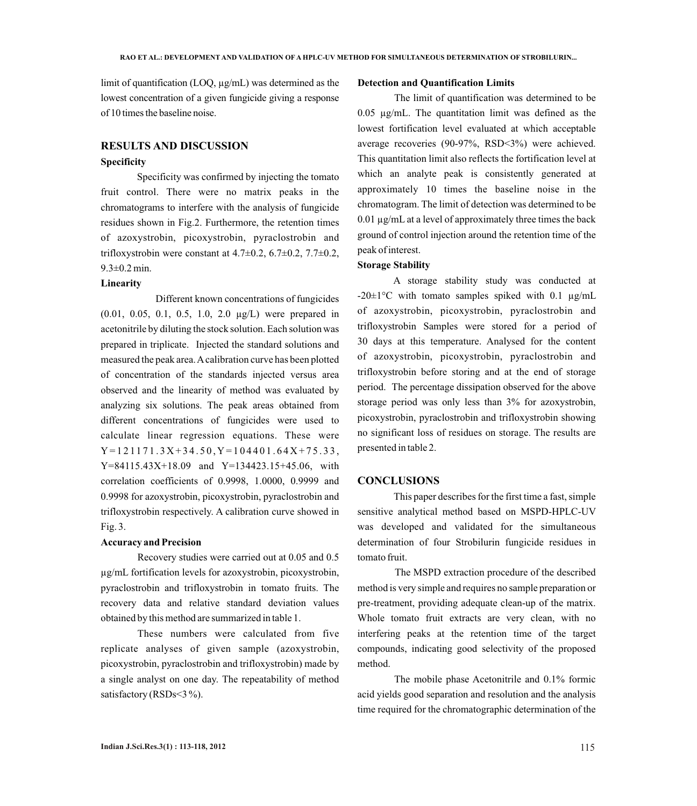limit of quantification (LOQ, µg/mL) was determined as the lowest concentration of a given fungicide giving a response of 10 times the baseline noise.

### **RESULTS AND DISCUSSION**

### **Specificity**

Specificity was confirmed by injecting the tomato fruit control. There were no matrix peaks in the chromatograms to interfere with the analysis of fungicide residues shown in Fig.2. Furthermore, the retention times of azoxystrobin, picoxystrobin, pyraclostrobin and trifloxystrobin were constant at  $4.7\pm0.2$ ,  $6.7\pm0.2$ ,  $7.7\pm0.2$ , 9.3±0.2 min.

### **Linearity**

Different known concentrations of fungicides (0.01, 0.05, 0.1, 0.5, 1.0, 2.0 µg/L) were prepared in acetonitrile by diluting the stock solution. Each solution was prepared in triplicate. Injected the standard solutions and measured the peak area. Acalibration curve has been plotted of concentration of the standards injected versus area observed and the linearity of method was evaluated by analyzing six solutions. The peak areas obtained from different concentrations of fungicides were used to calculate linear regression equations. These were Y = 1 2 11 7 1 . 3 X + 3 4 . 5 0 , Y = 1 0 4 4 0 1 . 6 4 X + 7 5 . 3 3 , Y=84115.43X+18.09 and Y=134423.15+45.06, with correlation coefficients of 0.9998, 1.0000, 0.9999 and 0.9998 for azoxystrobin, picoxystrobin, pyraclostrobin and trifloxystrobin respectively. A calibration curve showed in Fig. 3.

#### **Accuracy and Precision**

Recovery studies were carried out at 0.05 and 0.5 µg/mL fortification levels for azoxystrobin, picoxystrobin, pyraclostrobin and trifloxystrobin in tomato fruits. The recovery data and relative standard deviation values obtained by this method are summarized in table 1.

These numbers were calculated from five replicate analyses of given sample (azoxystrobin, picoxystrobin, pyraclostrobin and trifloxystrobin) made by a single analyst on one day. The repeatability of method satisfactory (RSDs<3%).

#### **Detection and Quantification Limits**

The limit of quantification was determined to be 0.05 µg/mL. The quantitation limit was defined as the lowest fortification level evaluated at which acceptable average recoveries (90-97%, RSD<3%) were achieved. This quantitation limit also reflects the fortification level at which an analyte peak is consistently generated at approximately 10 times the baseline noise in the chromatogram. The limit of detection was determined to be 0.01 µg/mL at a level of approximately three times the back ground of control injection around the retention time of the peak of interest.

#### **Storage Stability**

A storage stability study was conducted at  $-20\pm1\degree C$  with tomato samples spiked with 0.1  $\mu$ g/mL of azoxystrobin, picoxystrobin, pyraclostrobin and trifloxystrobin Samples were stored for a period of 30 days at this temperature. Analysed for the content of azoxystrobin, picoxystrobin, pyraclostrobin and trifloxystrobin before storing and at the end of storage period. The percentage dissipation observed for the above storage period was only less than 3% for azoxystrobin, picoxystrobin, pyraclostrobin and trifloxystrobin showing no significant loss of residues on storage. The results are presented in table 2.

#### **CONCLUSIONS**

This paper describes for the first time a fast, simple sensitive analytical method based on MSPD-HPLC-UV was developed and validated for the simultaneous determination of four Strobilurin fungicide residues in tomato fruit.

The MSPD extraction procedure of the described method is very simple and requires no sample preparation or pre-treatment, providing adequate clean-up of the matrix. Whole tomato fruit extracts are very clean, with no interfering peaks at the retention time of the target compounds, indicating good selectivity of the proposed method.

The mobile phase Acetonitrile and 0.1% formic acid yields good separation and resolution and the analysis time required for the chromatographic determination of the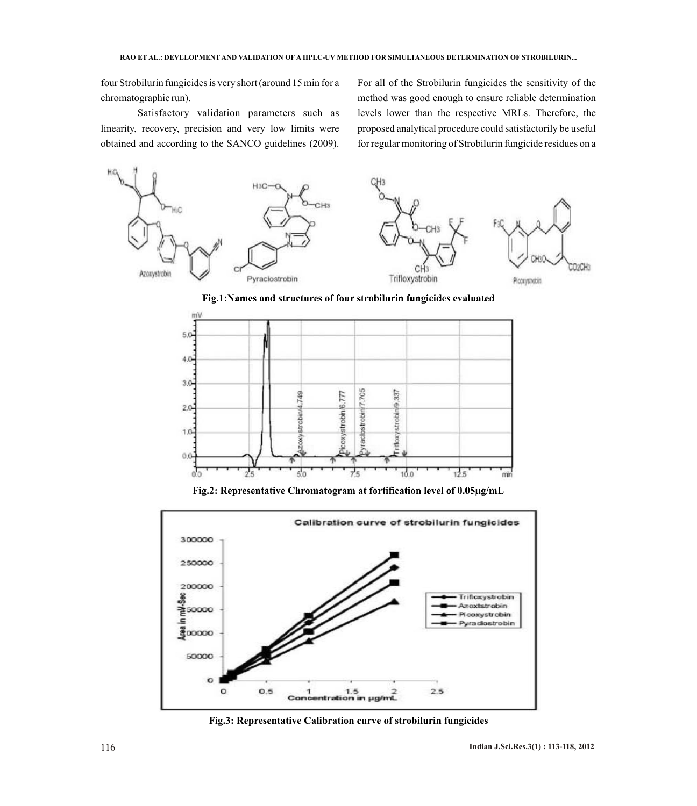four Strobilurin fungicides is very short (around 15 min for a chromatographic run).

Satisfactory validation parameters such as linearity, recovery, precision and very low limits were obtained and according to the SANCO guidelines (2009).

For all of the Strobilurin fungicides the sensitivity of the method was good enough to ensure reliable determination levels lower than the respective MRLs. Therefore, the proposed analytical procedure could satisfactorily be useful for regular monitoring of Strobilurin fungicide residues on a



Fig.1:Names and structures of four strobilurin fungicides evaluated



Fig.2: Representative Chromatogram at fortification level of 0.05µg/mL



 **Fig.3: Representative Calibration curve of strobilurin fungicides**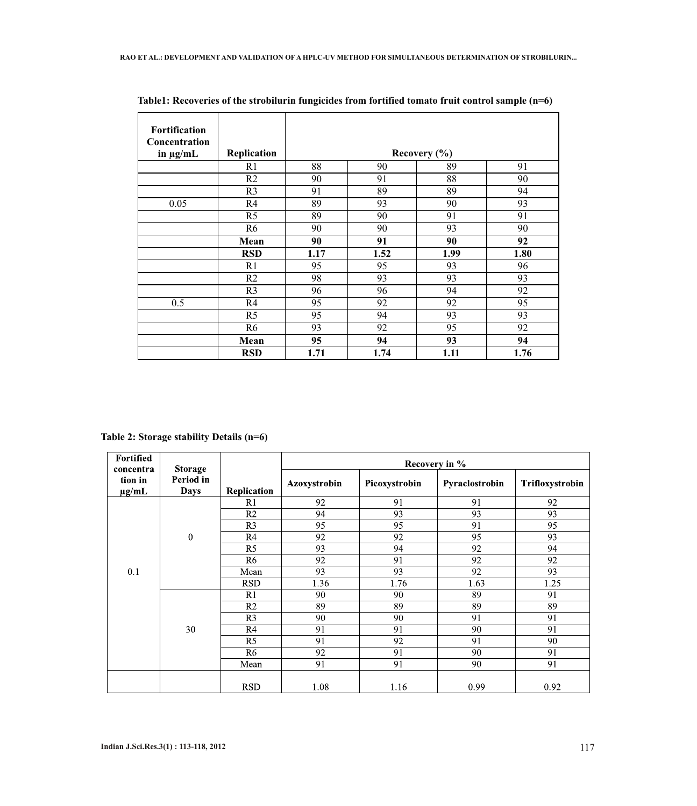| <b>Fortification</b>           |                |                  |      |      |      |  |  |  |
|--------------------------------|----------------|------------------|------|------|------|--|--|--|
| Concentration<br>in $\mu$ g/mL | Replication    | Recovery $(\% )$ |      |      |      |  |  |  |
|                                | R <sub>1</sub> | 88               | 90   | 89   | 91   |  |  |  |
|                                | R <sub>2</sub> | 90               | 91   | 88   | 90   |  |  |  |
|                                | R <sub>3</sub> | 91               | 89   | 89   | 94   |  |  |  |
| 0.05                           | R4             | 89               | 93   | 90   | 93   |  |  |  |
|                                | R <sub>5</sub> | 89               | 90   | 91   | 91   |  |  |  |
|                                | R <sub>6</sub> | 90               | 90   | 93   | 90   |  |  |  |
|                                | Mean           | 90               | 91   | 90   | 92   |  |  |  |
|                                | <b>RSD</b>     | 1.17             | 1.52 | 1.99 | 1.80 |  |  |  |
|                                | R <sub>1</sub> | 95               | 95   | 93   | 96   |  |  |  |
|                                | R <sub>2</sub> | 98               | 93   | 93   | 93   |  |  |  |
|                                | R <sub>3</sub> | 96               | 96   | 94   | 92   |  |  |  |
| 0.5                            | R <sub>4</sub> | 95               | 92   | 92   | 95   |  |  |  |
|                                | R <sub>5</sub> | 95               | 94   | 93   | 93   |  |  |  |
|                                | R <sub>6</sub> | 93               | 92   | 95   | 92   |  |  |  |
|                                | Mean           | 95               | 94   | 93   | 94   |  |  |  |
|                                | <b>RSD</b>     | 1.71             | 1.74 | 1.11 | 1.76 |  |  |  |

**Table1: Recoveries of the strobilurin fungicides from fortified tomato fruit control sample (n=6)**

## **Table 2: Storage stability Details (n=6)**

| <b>Fortified</b><br>concentra<br>tion in<br>$\mu$ g/mL | <b>Storage</b><br>Period in<br><b>Days</b> |                | Recovery in % |               |                |                 |  |  |
|--------------------------------------------------------|--------------------------------------------|----------------|---------------|---------------|----------------|-----------------|--|--|
|                                                        |                                            | Replication    | Azoxystrobin  | Picoxystrobin | Pyraclostrobin | Trifloxystrobin |  |  |
| 0.1                                                    | $\mathbf{0}$                               | R1             | 92            | 91            | 91             | 92              |  |  |
|                                                        |                                            | R <sub>2</sub> | 94            | 93            | 93             | 93              |  |  |
|                                                        |                                            | R <sub>3</sub> | 95            | 95            | 91             | 95              |  |  |
|                                                        |                                            | R <sub>4</sub> | 92            | 92            | 95             | 93              |  |  |
|                                                        |                                            | R <sub>5</sub> | 93            | 94            | 92             | 94              |  |  |
|                                                        |                                            | R <sub>6</sub> | 92            | 91            | 92             | 92              |  |  |
|                                                        |                                            | Mean           | 93            | 93            | 92             | 93              |  |  |
|                                                        |                                            | <b>RSD</b>     | 1.36          | 1.76          | 1.63           | 1.25            |  |  |
|                                                        |                                            | R1             | 90            | 90            | 89             | 91              |  |  |
|                                                        | 30                                         | R <sub>2</sub> | 89            | 89            | 89             | 89              |  |  |
|                                                        |                                            | R <sub>3</sub> | 90            | 90            | 91             | 91              |  |  |
|                                                        |                                            | R4             | 91            | 91            | 90             | 91              |  |  |
|                                                        |                                            | R5             | 91            | 92            | 91             | 90              |  |  |
|                                                        |                                            | R <sub>6</sub> | 92            | 91            | 90             | 91              |  |  |
|                                                        |                                            | Mean           | 91            | 91            | 90             | 91              |  |  |
|                                                        |                                            | <b>RSD</b>     | 1.08          | 1.16          | 0.99           | 0.92            |  |  |